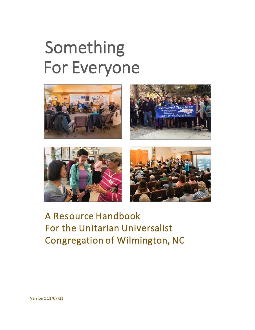# Something For Everyone





## A Resource Handbook For the Unitarian Universalist Congregation of Wilmington, NC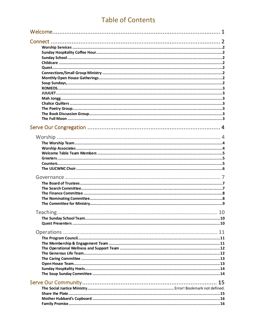#### **Table of Contents**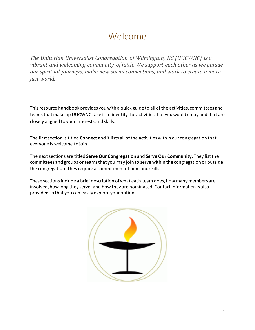## Welcome

*The Unitarian Universalist Congregation of Wilmington, NC (UUCWNC) is a vibrant and welcoming community of faith. We support each other as we pursue our spiritual journeys, make new social connections, and work to create a more just world.* 

This resource handbook provides you with a quick guide to all of the activities, committees and teams that make up UUCWNC. Use it to identify the activities that you would enjoy and that are closely aligned to your interests and skills.

The first section is titled **Connect** and it lists all of the activities within our congregation that everyone is welcome to join.

The nextsections are titled **Serve Our Congregation** and **Serve Our Community***.* They list the committees and groups or teams that you may join to serve within the congregation or outside the congregation. They require a commitment of time and skills.

These sections include a brief description of what each team does, how many members are involved, how long they serve, and how they are nominated. Contact information is also provided so that you can easily explore your options.

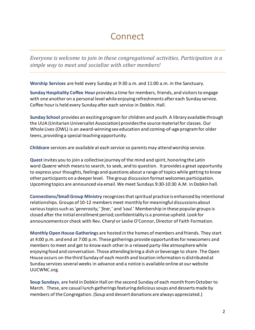## **Connect**

*Everyone is welcome to join in these congregational activities. Participation is a simple way to meet and socialize with other members!*

**Worship Services** are held every Sunday at 9:30 a.m. and 11:00 a.m. in the Sanctuary.

**Sunday Hospitality Coffee Hour** provides a time for members, friends, and visitors to engage with one another on a personal level while enjoying refreshments after each Sunday service. Coffee hour is held every Sunday after each service in Dobkin. Hall.

**Sunday School** provides an exciting program for children and youth. A library available through the UUA (Unitarian Universalist Association) provides the source material for classes. Our Whole Lives (OWL) is an award-winning sex education and coming-of-age program for older teens, providing a special teaching opportunity.

**Childcare** services are available at each service so parents may attend worship service.

**Quest** invites you to join a collective journey of the mind and spirit, honoring the Latin word *Quaere* which means to search, to seek, and to question. It provides a great opportunity to express your thoughts, feelings and questions about a range of topics while getting to know other participants on a deeper level. The group discussion format welcomes participation. Upcoming topics are announced via email. We meet Sundays 9:30-10:30 A.M. in Dobkin hall.

**Connections/Small Group Ministry** recognizes that spiritual practice is enhanced by intentional relationships. Groups of 10-12 members meet monthly for meaningful discussions about various topics such as '*generosity,*' '*fear,'* and *'soul.*' Membership in these popular groups is closed after the initial enrollment period; confidentiality is a promise upheld. Look for announcements or check with Rev. Cheryl or Leslie O'Connor, Director of Faith Formation.

**Monthly Open House Gatherings** are hosted in the homes of members and friends. They start at 4:00 p.m. and end at 7:00 p.m. These gatherings provide opportunities for newcomers and members to meet and get to know each other in a relaxed party-like atmosphere while enjoying food and conversation. Those attending bring a dish or beverage to share. The Open House occurs on the third Sunday of each month and location information is distributed at Sunday services several weeks in advance and a notice is available online at our website UUCWNC.org.

**Soup Sundays**, are held in Dobkin Hall on the second Sunday of each month from October to March. These, are casual lunch gatherings featuring delicious soups and desserts made by members of the Congregation. (Soup and dessert donations are always appreciated.)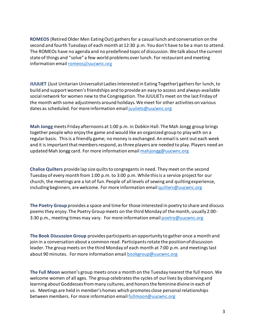**ROMEOS** (Retired Older Men Eating Out) gathers for a casual lunch and conversation on the second and fourth Tuesdays of each month at 12:30 p.m. You don't have to be a man to attend. The ROMEOs have no agenda and no predefined topic of discussion. We talk about the current state of things and "solve" a few world problems over lunch. For restaurant and meeting information email romeos@uucwnc[.org](mailto:romeos@uucwnc.org)

**JUULIET** (Just Unitarian Universalist Ladies Interested in Eating Together) gathers for lunch, to build and support women's friendships and to provide an easy to access and always-available social network for women new to the Congregation. The JUULIETs meet on the last Friday of the month with some adjustments around holidays. We meet for other activities on various dates as scheduled. For more information email [juuliets@uucwnc.org](mailto:juuliets@uucwnc.org)

**Mah Jongg** meets Friday afternoons at 1:00 p.m. in Dobkin Hall. The Mah Jongg group brings together people who enjoy the game and would like an organized group to play with on a regular basis. This is a friendly game; no money is exchanged. An email is sent out each week and it is important that members respond, as three players are needed to play. Players need an updated Mah Jongg card. For more information email [mahjongg@uucwnc.org](mailto:mahjongg@uucwnc.org)

**Chalice Quilters** provide lap size quilts to congregants in need. They meet on the second Tuesday of every month from 1:00 p.m. to 3:00 p.m. While this is a service project for our church, the meetings are a lot of fun. People of all levels of sewing and quilting experience, including beginners, are welcome. For more information email [quilters@uucwnc.org](mailto:quilters@uucwnc.org)

**The Poetry Group** provides a space and time for those interested in poetry to share and discuss poems they enjoy. The Poetry Group meets on the third Monday of the month, usually 2:00 3:30 p.m., meeting times may vary. For more information email [poetry@uucwnc.org](mailto:poetry@uucwnc.org)

**The Book Discussion Group** provides participants an opportunity to gather once a month and join in a conversation about a common read. Participants rotate the position of discussion leader. The group meets on the third Monday of each month at 7:00 p.m. and meetings last about 90 minutes. For more information email **[bookgroup@uucwnc.org](mailto:bookgroup@uucwnc.org)** 

**The Full Moon** women's group meets once a month on the Tuesday nearest the full moon. We welcome women of all ages. The group celebrates the cycles of our lives by observing and learning about Goddesses from many cultures, and honors the feminine divine in each of us. Meetings are held in member's homes which promotes close personal relationships between members. For more information email [fullmoon@uucwnc.org](mailto:fullmon@uucwnc.org)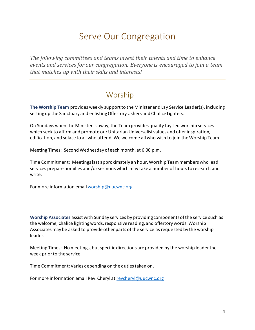## Serve Our Congregation

*The following committees and teams invest their talents and time to enhance events and services for our congregation. Everyone is encouraged to join a team that matches up with their skills and interests!*

#### Worship

**The Worship Team** provides weekly support to the Minister and Lay Service Leader(s), including setting up the Sanctuary and enlisting Offertory Ushers and Chalice Lighters.

On Sundays when the Minister is away, the Team provides quality Lay-led worship services which seek to affirm and promote our Unitarian Universalist values and offer inspiration, edification, and solace to all who attend. We welcome all who wish to join the Worship Team!

Meeting Times: Second Wednesday of each month, at 6:00 p.m.

Time Commitment: Meetings last approximately an hour. Worship Team members who lead services prepare homilies and/or sermons which may take a number of hours to research and write.

For more information email [worship@uucwnc.org](mailto:worship@uucwnc.org)

**Worship Associates** assist with Sunday services by providing components of the service such as the welcome, chalice lighting words, responsive reading, and offertory words. Worship Associates may be asked to provide other parts of the service as requested by the worship leader.

Meeting Times: No meetings, but specific directions are provided by the worship leader the week prior to the service.

Time Commitment: Varies depending on the duties taken on.

For more information email Rev. Cheryl a[t revcheryl@uucwnc.org](mailto:revcheryl@uucwnc.org)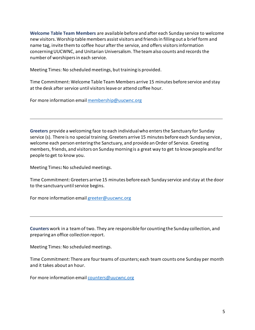**Welcome Table Team Members** are available before and after each Sunday service to welcome new visitors. Worship table members assist visitors and friends in filling out a brief form and name tag, invite them to coffee hour after the service, and offers visitors information concerning UUCWNC, and Unitarian Universalism. The team also counts and records the number of worshipers in each service.

Meeting Times: No scheduled meetings, but training is provided.

Time Commitment: Welcome Table Team Members arrive 15 minutes before service and stay at the desk after service until visitors leave or attend coffee hour.

For more information email [membership@uucwnc.org](mailto:membership@uucwnc.org)

**Greeters** provide a welcoming face to each individual who enters the Sanctuary for Sunday service (s). There is no special training. Greeters arrive 15 minutes before each Sunday service, welcome each person entering the Sanctuary, and provide an Order of Service. Greeting members, friends, and visitors on Sunday morning is a great way to get to know people and for people to get to know you.

Meeting Times**:** No scheduled meetings.

Time Commitment: Greeters arrive 15 minutes before each Sunday service and stay at the door to the sanctuary until service begins.

For more information email [greeter@uucwnc.org](mailto:greeter@uucwnc.org)

**Counters** work in a team of two. They are responsible for counting the Sunday collection, and preparing an office collection report.

Meeting Times: No scheduled meetings.

Time Commitment: There are four teams of counters; each team counts one Sunday per month and it takes about an hour.

For more information email [counters@uucwnc.org](mailto:counters@uucwnc.org)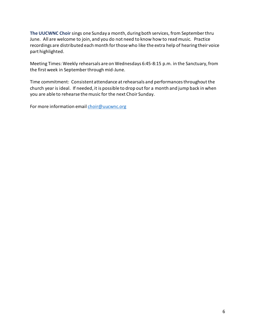**The UUCWNC Choir** sings one Sunday a month, during both services, from September thru June. All are welcome to join, and you do not need to know how to read music. Practice recordings are distributed each month for those who like the extra help of hearing their voice part highlighted.

Meeting Times: Weekly rehearsals are on Wednesdays 6:45-8:15 p.m. in the Sanctuary, from the first week in September through mid-June.

Time commitment: Consistent attendance at rehearsals and performances throughout the church year is ideal. If needed, it is possible to drop out for a month and jump back in when you are able to rehearse the music for the next Choir Sunday.

For more information emai[l choir@uucwnc.org](mailto:choir@uucwnc.org)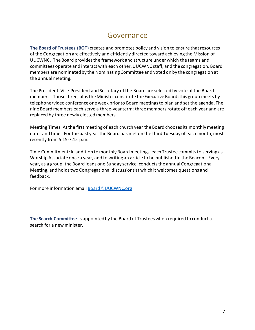#### Governance

**The Board of Trustees (BOT)** creates and promotes policy and vision to ensure that resources of the Congregation are effectively and efficiently directed toward achieving the Mission of UUCWNC. The Board provides the framework and structure under which the teams and committees operate and interact with each other, UUCWNC staff, and the congregation. Board members are nominated by the Nominating Committee and voted on by the congregation at the annual meeting.

The President, Vice-President and Secretary of the Board are selected by vote of the Board members. Those three, plus the Minister constitute the Executive Board; this group meets by telephone/video conference one week prior to Board meetings to plan and set the agenda. The nine Board members each serve a three-year term; three members rotate off each year and are replaced by three newly elected members.

Meeting Times: At the first meeting of each church year the Board chooses its monthly meeting dates and time. For the past year the Board has met on the third Tuesday of each month, most recently from 5:15-7:15 p.m.

Time Commitment: In addition to monthly Board meetings, each Trustee commits to serving as Worship Associate once a year, and to writing an article to be published in the Beacon. Every year, as a group, the Board leads one Sunday service, conducts the annual Congregational Meeting, and holds two Congregational discussions at which it welcomes questions and feedback.

For more information email [Board@UUCWNC.org](mailto:Board@UUCWNC.org)

**The Search Committee** is appointed by the Board of Trustees when required to conduct a search for a new minister.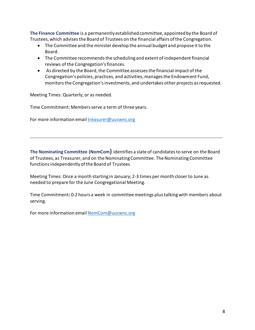**The Finance Committee** is a permanently established committee, appointed by the Board of Trustees, which advises the Board of Trustees on the financial affairs of the Congregation.

- The Committee and the minister develop the annual budget and propose it to the Board.
- The Committee recommends the scheduling and extent of independent financial reviews of the Congregation's finances.
- As directed by the Board, the Committee assesses the financial impact of the Congregation's policies, practices, and activities, manages the Endowment Fund, monitors the Congregation's investments, and undertakes other projects as requested.

Meeting Times: Quarterly, or as needed.

Time Commitment: Members serve a term of three years.

For more information emai[l treasurer@uucwnc.org](mailto:treasurer@uucwnc.org)

**The Nominating Committee (NomCom)** identifies a slate of candidates to serve on the Board of Trustees, as Treasurer, and on the Nominating Committee. The Nominating Committee functions independently of the Board of Trustees

Meeting Times: Once a month starting in January; 2-3 times per month closer to June as needed to prepare for the June Congregational Meeting.

Time Commitment**:** 0-2 hours a week in committee meetings plus talking with members about serving.

For more information emai[l NomCom@uucwnc.org](mailto:NomCom@uucwnc.org)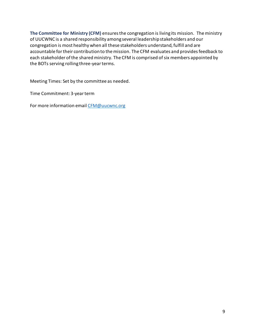**The Committee for Ministry (CFM)** ensures the congregation is living its mission. The ministry of UUCWNC is a shared responsibility among several leadership stakeholders and our congregation is most healthy when all these stakeholders understand, fulfill and are accountable for their contribution to the mission. The CFM evaluates and provides feedback to each stakeholder of the shared ministry. The CFM is comprised of six members appointed by the BOTs serving rolling three-year terms.

Meeting Times: Set by the committee as needed.

Time Commitment: 3-year term

For more information email [CFM@uucwnc.org](mailto:CFM@uucwnc.org)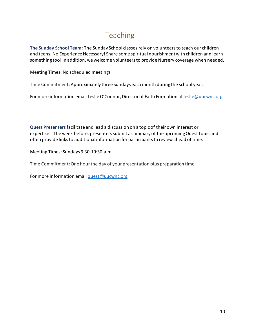### Teaching

**The Sunday School Team:** The Sunday School classes rely on volunteers to teach our children and teens. No Experience Necessary! Share some spiritual nourishment with children and learn something too! In addition, we welcome volunteers to provide Nursery coverage when needed.

Meeting Times: No scheduled meetings

Time Commitment: Approximately three Sundays each month during the school year.

For more information email Leslie O'Connor, Director of Faith Formation at **leslie@uucwnc.org** 

**Quest Presenters** facilitate and lead a discussion on a topic of their own interest or expertise. The week before, presenters submit a summary of the upcoming Quest topic and often provide links to additional information for participants to review ahead of time.

Meeting Times: Sundays 9:30-10:30 a.m.

Time Commitment:One hour the day of your presentation plus preparation time.

For more information emai[l quest@uucwnc.org](mailto:quest@uucwnc.org)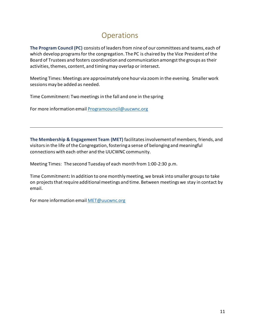#### **Operations**

**The Program Council (PC)** consists of leaders from nine of our committees and teams, each of which develop programs for the congregation. The PC is chaired by the Vice President of the Board of Trustees and fosters coordination and communication amongst the groups as their activities, themes, content, and timing may overlap or intersect.

Meeting Times: Meetings are approximately one hour via zoom in the evening. Smaller work sessions may be added as needed.

Time Commitment: Two meetings in the fall and one in the spring

For more information email **[Programcouncil@uucwnc.org](mailto:Programcouncil@uucwnc.org)** 

**The Membership & Engagement Team (MET)** facilitates involvement of members, friends, and visitors in the life of the Congregation, fostering a sense of belonging and meaningful connections with each other and the UUCWNC community.

Meeting Times: The second Tuesday of each month from 1:00-2:30 p.m.

Time Commitment**:** In addition to onemonthly meeting, we break into smaller groups to take on projects that require additional meetings and time. Between meetings we stay in contact by email.

For more information email [MET@uucwnc.org](mailto:MET@uucwnc.org)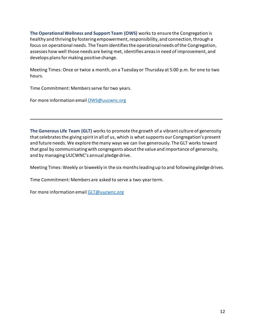**The Operational Wellness and Support Team (OWS)** works to ensure the Congregation is healthy and thriving by fostering empowerment, responsibility, and connection, through a focus on operational needs. The Team identifies the operational needs of the Congregation, assesses how well those needs are being met, identifies areas in need of improvement, and develops plans for making positive change.

Meeting Times: Once or twice a month, on a Tuesday or Thursday at 5:00 p.m. for one to two hours.

Time Commitment: Members serve for two years.

For more information email [OWS@uucwnc.org](mailto:OWS@uucwnc.org)

**The Generous Life Team (GLT)** works to promote the growth of a vibrant culture of generosity that celebrates the giving spirit in all of us, which is what supports our Congregation's present and future needs. We explore the many ways we can live generously. The GLT works toward that goal by communicating with congregants about the value and importance of generosity, and by managing UUCWNC's annual pledge drive.

Meeting Times: Weekly or biweekly in the six months leading up to and following pledge drives.

Time Commitment: Members are asked to serve a two-year term.

For more information emai[l GLT@uucwnc.org](mailto:GLT@uucwnc.org)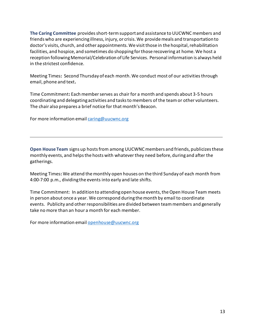**The Caring Committee** provides short-term support and assistance to UUCWNC members and friends who are experiencing illness, injury, or crisis. We provide meals and transportation to doctor's visits, church, and other appointments. We visit those in the hospital, rehabilitation facilities, and hospice, and sometimes do shopping for those recovering at home. We host a reception following Memorial/Celebration of Life Services. Personal information is always held in the strictest confidence.

Meeting Times**:** Second Thursday of each month. We conduct most of our activities through email, phone and text**.**

Time Commitment**:** Each member serves as chair for a month and spends about 3-5 hours coordinating and delegating activities and tasks to members of the team or other volunteers. The chair also prepares a brief notice for that month's Beacon.

For more information email [caring@uucwnc.org](mailto:caring@uucwnc.org)

**Open House Team** signs up hosts from among UUCWNC members and friends, publicizes these monthly events, and helps the hosts with whatever they need before, during and after the gatherings.

Meeting Times**:** We attend the monthly open houses on the third Sunday of each month from 4:00-7:00 p.m., dividing the events into early and late shifts.

Time Commitment: In addition to attending open house events, the Open House Team meets in person about once a year. We correspond during the month by email to coordinate events. Publicity and other responsibilities are divided between team members and generally take no more than an hour a month for each member.

For more information emai[l openhouse@uucwnc.org](mailto:openhouse@uucwnc.org)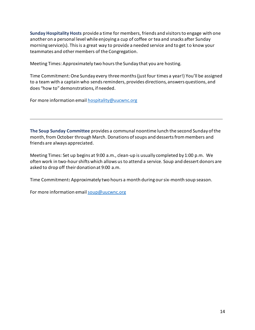**Sunday Hospitality Hosts** provide a time for members, friends and visitors to engage with one another on a personal level while enjoying a cup of coffee or tea and snacks after Sunday morning service(s). This is a great way to provide a needed service and to get to know your teammates and other members of the Congregation.

Meeting Times: Approximately two hours the Sunday that you are hosting.

Time Commitment: One Sunday every three months (just four times a year!) You'll be assigned to a team with a captain who sends reminders, provides directions, answers questions, and does "how to" demonstrations, if needed.

For more information emai[l hospitality@uucwnc.org](mailto:hospitality@uucwnc.org)

**The Soup Sunday Committee** provides a communal noontime lunch the second Sunday of the month, from October through March. Donations of soups and desserts from members and friends are always appreciated.

Meeting Times: Set up begins at 9:00 a.m., clean-up is usually completed by 1:00 p.m. We often work in two-hour shifts which allows us to attend a service. Soup and dessert donors are asked to drop off their donation at 9:00 a.m.

Time Commitment**:** Approximately two hours a month during our six-month soup season.

For more information email soup@uucwnc.org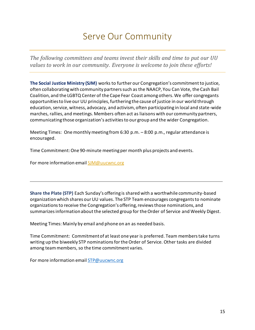## Serve Our Community

*The following committees and teams invest their skills and time to put our UU values to work in our community. Everyone is welcome to join these efforts!*

**The Social Justice Ministry (SJM)** works to further our Congregation's commitment to justice, often collaborating with community partners such as the NAACP, You Can Vote, the Cash Bail Coalition, and the LGBTQ Center of the Cape Fear Coast among others. We offer congregants opportunities to live our UU principles, furthering the cause of justice in our world through education, service, witness, advocacy, and activism, often participating in local and state-wide marches, rallies, and meetings. Members often act as liaisons with our community partners, communicating those organization's activities to our group and the wider Congregation.

Meeting Times: One monthly meeting from 6:30 p.m. – 8:00 p.m., regular attendance is encouraged.

Time Commitment: One 90-minute meeting per month plus projects and events.

For more information email [SJM@uucwnc.org](mailto:SJM@uucwnc.org)

**Share the Plate (STP)** Each Sunday's offering is shared with a worthwhile community-based organizationwhich shares our UU values. The STP Team encourages congregants to nominate organizations to receive the Congregation's offering, reviews those nominations, and summarizes information about the selected group for the Order of Service and Weekly Digest.

Meeting Times: Mainly by email and phone on an as needed basis.

Time Commitment: Commitment of at least one year is preferred. Team members take turns writing up the biweekly STP nominations for the Order of Service. Other tasks are divided among team members, so the time commitment varies.

For more information email **[STP@uucwnc.org](mailto:STP@uucwnc.org)**